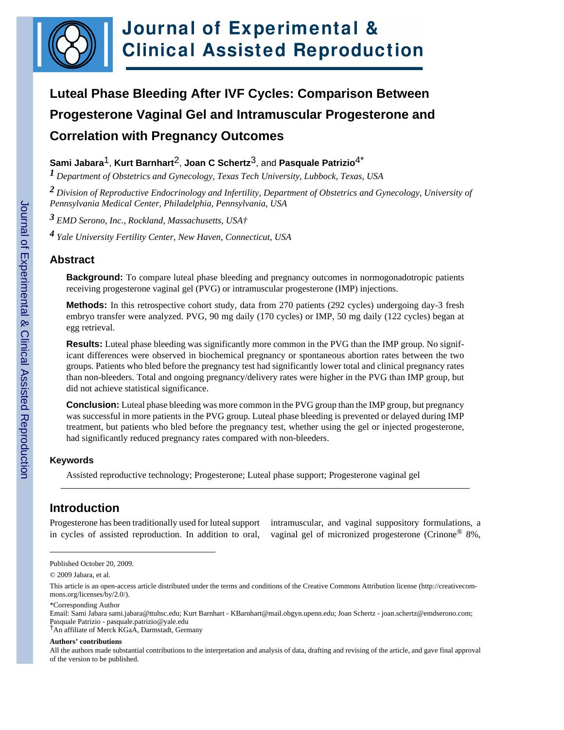

# **Luteal Phase Bleeding After IVF Cycles: Comparison Between Progesterone Vaginal Gel and Intramuscular Progesterone and Correlation with Pregnancy Outcomes**

**Sami Jabara**1, **Kurt Barnhart**2, **Joan C Schertz**3, and **Pasquale Patrizio**4\*

*1 Department of Obstetrics and Gynecology, Texas Tech University, Lubbock, Texas, USA*

*2 Division of Reproductive Endocrinology and Infertility, Department of Obstetrics and Gynecology, University of Pennsylvania Medical Center, Philadelphia, Pennsylvania, USA*

*3 EMD Serono, Inc., Rockland, Massachusetts, USA†*

*4 Yale University Fertility Center, New Haven, Connecticut, USA*

## **Abstract**

**Background:** To compare luteal phase bleeding and pregnancy outcomes in normogonadotropic patients receiving progesterone vaginal gel (PVG) or intramuscular progesterone (IMP) injections.

**Methods:** In this retrospective cohort study, data from 270 patients (292 cycles) undergoing day-3 fresh embryo transfer were analyzed. PVG, 90 mg daily (170 cycles) or IMP, 50 mg daily (122 cycles) began at egg retrieval.

**Results:** Luteal phase bleeding was significantly more common in the PVG than the IMP group. No significant differences were observed in biochemical pregnancy or spontaneous abortion rates between the two groups. Patients who bled before the pregnancy test had significantly lower total and clinical pregnancy rates than non-bleeders. Total and ongoing pregnancy/delivery rates were higher in the PVG than IMP group, but did not achieve statistical significance.

**Conclusion:** Luteal phase bleeding was more common in the PVG group than the IMP group, but pregnancy was successful in more patients in the PVG group. Luteal phase bleeding is prevented or delayed during IMP treatment, but patients who bled before the pregnancy test, whether using the gel or injected progesterone, had significantly reduced pregnancy rates compared with non-bleeders.

## **Keywords**

Assisted reproductive technology; Progesterone; Luteal phase support; Progesterone vaginal gel

# **Introduction**

Progesterone has been traditionally used for luteal support in cycles of assisted reproduction. In addition to oral, intramuscular, and vaginal suppository formulations, a vaginal gel of micronized progesterone (Crinone® 8%,

#### **Authors' contributions**

Published October 20, 2009.

<sup>© 2009</sup> Jabara, et al.

This article is an open-access article distributed under the terms and conditions of the Creative Commons Attribution license (http://creativecommons.org/licenses/by/2.0/).

<sup>\*</sup>Corresponding Author

Email: Sami Jabara sami.jabara@ttuhsc.edu; Kurt Barnhart - KBarnhart@mail.obgyn.upenn.edu; Joan Schertz - joan.schertz@emdserono.com; Pasquale Patrizio - pasquale.patrizio@yale.edu

<sup>†</sup>An affiliate of Merck KGaA, Darmstadt, Germany

All the authors made substantial contributions to the interpretation and analysis of data, drafting and revising of the article, and gave final approval of the version to be published.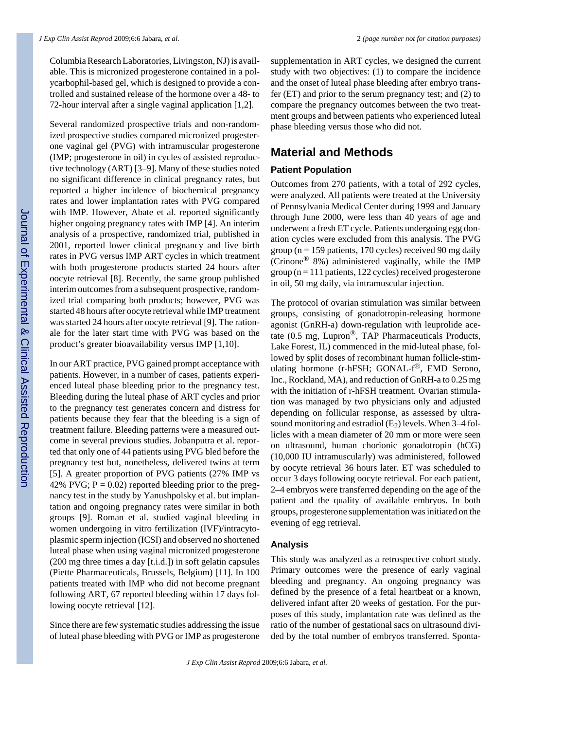Columbia Research Laboratories, Livingston, NJ) is available. This is micronized progesterone contained in a polycarbophil-based gel, which is designed to provide a controlled and sustained release of the hormone over a 48- to 72-hour interval after a single vaginal application [1,2].

Several randomized prospective trials and non-randomized prospective studies compared micronized progesterone vaginal gel (PVG) with intramuscular progesterone (IMP; progesterone in oil) in cycles of assisted reproductive technology (ART) [3–9]. Many of these studies noted no significant difference in clinical pregnancy rates, but reported a higher incidence of biochemical pregnancy rates and lower implantation rates with PVG compared with IMP. However, Abate et al. reported significantly higher ongoing pregnancy rates with IMP [4]. An interim analysis of a prospective, randomized trial, published in 2001, reported lower clinical pregnancy and live birth rates in PVG versus IMP ART cycles in which treatment with both progesterone products started 24 hours after oocyte retrieval [8]. Recently, the same group published interim outcomes from a subsequent prospective, randomized trial comparing both products; however, PVG was started 48 hours after oocyte retrieval while IMP treatment was started 24 hours after oocyte retrieval [9]. The rationale for the later start time with PVG was based on the product's greater bioavailability versus IMP [1,10].

In our ART practice, PVG gained prompt acceptance with patients. However, in a number of cases, patients experienced luteal phase bleeding prior to the pregnancy test. Bleeding during the luteal phase of ART cycles and prior to the pregnancy test generates concern and distress for patients because they fear that the bleeding is a sign of treatment failure. Bleeding patterns were a measured outcome in several previous studies. Jobanputra et al. reported that only one of 44 patients using PVG bled before the pregnancy test but, nonetheless, delivered twins at term [5]. A greater proportion of PVG patients (27% IMP vs 42% PVG;  $P = 0.02$ ) reported bleeding prior to the pregnancy test in the study by Yanushpolsky et al. but implantation and ongoing pregnancy rates were similar in both groups [9]. Roman et al. studied vaginal bleeding in women undergoing in vitro fertilization (IVF)/intracytoplasmic sperm injection (ICSI) and observed no shortened luteal phase when using vaginal micronized progesterone (200 mg three times a day [t.i.d.]) in soft gelatin capsules (Piette Pharmaceuticals, Brussels, Belgium) [11]. In 100 patients treated with IMP who did not become pregnant following ART, 67 reported bleeding within 17 days following oocyte retrieval [12].

Since there are few systematic studies addressing the issue of luteal phase bleeding with PVG or IMP as progesterone supplementation in ART cycles, we designed the current study with two objectives: (1) to compare the incidence and the onset of luteal phase bleeding after embryo transfer (ET) and prior to the serum pregnancy test; and (2) to compare the pregnancy outcomes between the two treatment groups and between patients who experienced luteal phase bleeding versus those who did not.

# **Material and Methods**

## **Patient Population**

Outcomes from 270 patients, with a total of 292 cycles, were analyzed. All patients were treated at the University of Pennsylvania Medical Center during 1999 and January through June 2000, were less than 40 years of age and underwent a fresh ET cycle. Patients undergoing egg donation cycles were excluded from this analysis. The PVG group ( $n = 159$  patients, 170 cycles) received 90 mg daily (Crinone® 8%) administered vaginally, while the IMP group ( $n = 111$  patients, 122 cycles) received progesterone in oil, 50 mg daily, via intramuscular injection.

The protocol of ovarian stimulation was similar between groups, consisting of gonadotropin-releasing hormone agonist (GnRH-a) down-regulation with leuprolide acetate  $(0.5 \text{ mg}, \text{Lupron}^{\circledR}, \text{TAP}$  Pharmaceuticals Products, Lake Forest, IL) commenced in the mid-luteal phase, followed by split doses of recombinant human follicle-stimulating hormone (r-hFSH; GONAL-f®, EMD Serono, Inc., Rockland, MA), and reduction of GnRH-a to 0.25 mg with the initiation of r-hFSH treatment. Ovarian stimulation was managed by two physicians only and adjusted depending on follicular response, as assessed by ultrasound monitoring and estradiol  $(E_2)$  levels. When 3–4 follicles with a mean diameter of 20 mm or more were seen on ultrasound, human chorionic gonadotropin (hCG) (10,000 IU intramuscularly) was administered, followed by oocyte retrieval 36 hours later. ET was scheduled to occur 3 days following oocyte retrieval. For each patient, 2–4 embryos were transferred depending on the age of the patient and the quality of available embryos. In both groups, progesterone supplementation was initiated on the evening of egg retrieval.

## **Analysis**

This study was analyzed as a retrospective cohort study. Primary outcomes were the presence of early vaginal bleeding and pregnancy. An ongoing pregnancy was defined by the presence of a fetal heartbeat or a known, delivered infant after 20 weeks of gestation. For the purposes of this study, implantation rate was defined as the ratio of the number of gestational sacs on ultrasound divided by the total number of embryos transferred. Sponta-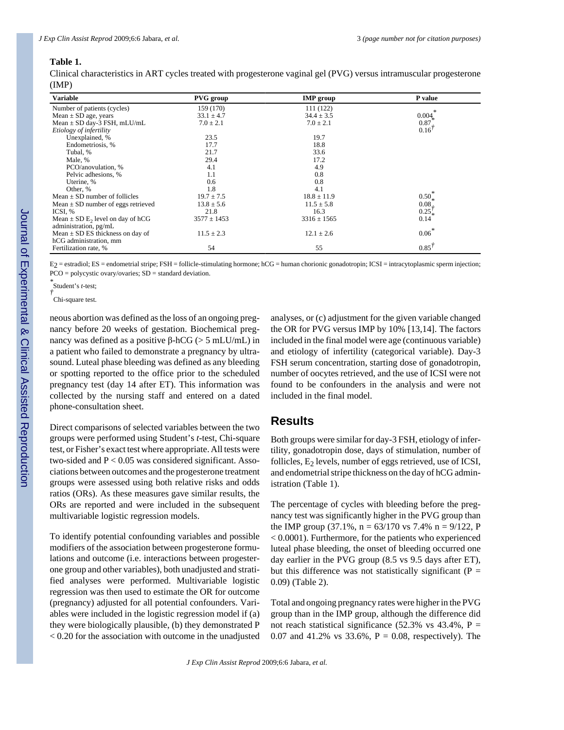## **Table 1.**

Clinical characteristics in ART cycles treated with progesterone vaginal gel (PVG) versus intramuscular progesterone (IMP)

| <b>Variable</b>                                  | <b>PVG</b> group | <b>IMP</b> group | P value           |
|--------------------------------------------------|------------------|------------------|-------------------|
| Number of patients (cycles)                      | 159 (170)        | 111 (122)        |                   |
| Mean $\pm$ SD age, years                         | $33.1 \pm 4.7$   | $34.4 \pm 3.5$   | 0.004             |
| Mean $\pm$ SD day-3 FSH, mLU/mL                  | $7.0 \pm 2.1$    | $7.0 \pm 2.1$    | 0.87              |
| Etiology of infertility                          |                  |                  | 0.16'             |
| Unexplained, %                                   | 23.5             | 19.7             |                   |
| Endometriosis, %                                 | 17.7             | 18.8             |                   |
| Tubal, %                                         | 21.7             | 33.6             |                   |
| Male, %                                          | 29.4             | 17.2             |                   |
| PCO/anovulation, %                               | 4.1              | 4.9              |                   |
| Pelvic adhesions, %                              | 1.1              | 0.8              |                   |
| Uterine, %                                       | 0.6              | 0.8              |                   |
| Other, %                                         | 1.8              | 4.1              |                   |
| Mean $\pm$ SD number of follicles                | $19.7 \pm 7.5$   | $18.8 \pm 11.9$  | $0.50^{-}$        |
| Mean $\pm$ SD number of eggs retrieved           | $13.8 \pm 5.6$   | $11.5 \pm 5.8$   | 0.08              |
| ICSI, %                                          | 21.8             | 16.3             | $0.25\frac{7}{*}$ |
| Mean $\pm$ SD E <sub>2</sub> level on day of hCG | $3577 \pm 1453$  | $3316 \pm 1565$  | 0.14              |
| administration, pg/mL                            |                  |                  |                   |
| Mean $\pm$ SD ES thickness on day of             | $11.5 \pm 2.3$   | $12.1 \pm 2.6$   | $0.06*$           |
| hCG administration, mm                           |                  |                  |                   |
| Fertilization rate, %                            | 54               | 55               | $0.85^{7}$        |

E2 = estradiol; ES = endometrial stripe; FSH = follicle-stimulating hormone; hCG = human chorionic gonadotropin; ICSI = intracytoplasmic sperm injection; PCO = polycystic ovary/ovaries; SD = standard deviation.

*\** Student's *t*-test; *†*

Chi-square test.

neous abortion was defined as the loss of an ongoing pregnancy before 20 weeks of gestation. Biochemical pregnancy was defined as a positive β-hCG ( $>$  5 mLU/mL) in a patient who failed to demonstrate a pregnancy by ultrasound. Luteal phase bleeding was defined as any bleeding or spotting reported to the office prior to the scheduled pregnancy test (day 14 after ET). This information was collected by the nursing staff and entered on a dated phone-consultation sheet.

Direct comparisons of selected variables between the two groups were performed using Student's *t*-test, Chi-square test, or Fisher's exact test where appropriate. All tests were two-sided and  $P < 0.05$  was considered significant. Associations between outcomes and the progesterone treatment groups were assessed using both relative risks and odds ratios (ORs). As these measures gave similar results, the ORs are reported and were included in the subsequent multivariable logistic regression models.

To identify potential confounding variables and possible modifiers of the association between progesterone formulations and outcome (i.e. interactions between progesterone group and other variables), both unadjusted and stratified analyses were performed. Multivariable logistic regression was then used to estimate the OR for outcome (pregnancy) adjusted for all potential confounders. Variables were included in the logistic regression model if (a) they were biologically plausible, (b) they demonstrated P < 0.20 for the association with outcome in the unadjusted

analyses, or (c) adjustment for the given variable changed the OR for PVG versus IMP by 10% [13,14]. The factors included in the final model were age (continuous variable) and etiology of infertility (categorical variable). Day-3 FSH serum concentration, starting dose of gonadotropin, number of oocytes retrieved, and the use of ICSI were not found to be confounders in the analysis and were not included in the final model.

# **Results**

Both groups were similar for day-3 FSH, etiology of infertility, gonadotropin dose, days of stimulation, number of follicles,  $E_2$  levels, number of eggs retrieved, use of ICSI, and endometrial stripe thickness on the day of hCG administration (Table 1).

The percentage of cycles with bleeding before the pregnancy test was significantly higher in the PVG group than the IMP group (37.1%,  $n = 63/170$  vs 7.4%  $n = 9/122$ , P < 0.0001). Furthermore, for the patients who experienced luteal phase bleeding, the onset of bleeding occurred one day earlier in the PVG group (8.5 vs 9.5 days after ET), but this difference was not statistically significant ( $P =$ 0.09) (Table 2).

Total and ongoing pregnancy rates were higher in the PVG group than in the IMP group, although the difference did not reach statistical significance (52.3% vs 43.4%,  $P =$ 0.07 and 41.2% vs  $33.6\%$ , P = 0.08, respectively). The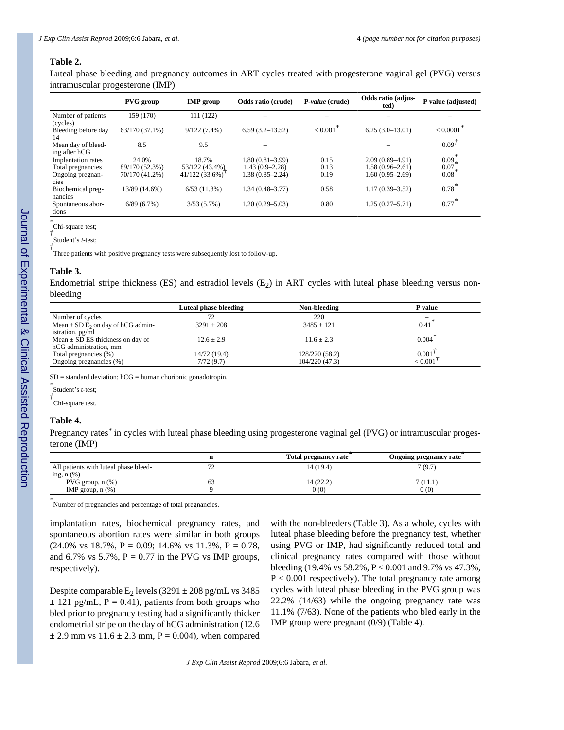#### **Table 2.**

Luteal phase bleeding and pregnancy outcomes in ART cycles treated with progesterone vaginal gel (PVG) versus intramuscular progesterone (IMP)

|                           | <b>PVG</b> group | <b>IMP</b> group                              | Odds ratio (crude)  | P-value (crude) | Odds ratio (adjus-<br>ted) | P value (adjusted) |
|---------------------------|------------------|-----------------------------------------------|---------------------|-----------------|----------------------------|--------------------|
| Number of patients        | 159 (170)        | 111 (122)                                     |                     |                 |                            |                    |
| (cycles)                  |                  |                                               |                     |                 |                            |                    |
| Bleeding before day       | 63/170 (37.1%)   | $9/122(7.4\%)$                                | $6.59(3.2 - 13.52)$ | < 0.001         | $6.25(3.0-13.01)$          | < 0.0001           |
| 14                        |                  |                                               |                     |                 |                            |                    |
| Mean day of bleed-        | 8.5              | 9.5                                           |                     |                 |                            | $0.09^{\dagger}$   |
| ing after hCG             |                  |                                               |                     |                 |                            |                    |
| <b>Implantation</b> rates | 24.0%            | 18.7%                                         | $1.80(0.81 - 3.99)$ | 0.15            | $2.09(0.89 - 4.91)$        | $0.09*$            |
| Total pregnancies         | 89/170 (52.3%)   | 53/122 (43.4%).                               | $1.43(0.9-2.28)$    | 0.13            | $1.58(0.96 - 2.61)$        | $0.07*$            |
| Ongoing pregnan-          | 70/170 (41.2%)   | $41/122$ (33.6%) <sup><math>\neq</math></sup> | $1.38(0.85 - 2.24)$ | 0.19            | $1.60(0.95-2.69)$          | 0.08               |
| cies                      |                  |                                               |                     |                 |                            |                    |
| Biochemical preg-         | 13/89 (14.6%)    | 6/53(11.3%)                                   | $1.34(0.48 - 3.77)$ | 0.58            | $1.17(0.39 - 3.52)$        | $0.78*$            |
| nancies                   |                  |                                               |                     |                 |                            |                    |
| Spontaneous abor-         | 6/89(6.7%)       | 3/53(5.7%)                                    | $1.20(0.29 - 5.03)$ | 0.80            | $1.25(0.27 - 5.71)$        | $0.77*$            |
| tions                     |                  |                                               |                     |                 |                            |                    |

*\** Chi-square test;

*†* Student's *t*-test;

*‡*

Three patients with positive pregnancy tests were subsequently lost to follow-up.

#### **Table 3.**

Endometrial stripe thickness (ES) and estradiol levels  $(E_2)$  in ART cycles with luteal phase bleeding versus nonbleeding

|                                                   | Luteal phase bleeding | Non-bleeding   | P value     |
|---------------------------------------------------|-----------------------|----------------|-------------|
| Number of cycles                                  |                       | 220            |             |
| Mean $\pm$ SD E <sub>2</sub> on day of hCG admin- | $3291 \pm 208$        | $3485 \pm 121$ | 0.41        |
| istration, pg/ml                                  |                       |                |             |
| Mean $\pm$ SD ES thickness on day of              | $12.6 \pm 2.9$        | $11.6 \pm 2.3$ | $0.004*$    |
| hCG administration, mm                            |                       |                |             |
| Total pregnancies (%)                             | 14/72(19.4)           | 128/220 (58.2) | 0.001'      |
| Ongoing pregnancies (%)                           | 7/72(9.7)             | 104/220 (47.3) | $< 0.001^7$ |
|                                                   |                       |                |             |

 $SD =$  standard deviation;  $hCG =$  human chorionic gonadotropin.

*\** Student's *t*-test; *†*

Chi-square test.

#### **Table 4.**

Pregnancy rates*\** in cycles with luteal phase bleeding using progesterone vaginal gel (PVG) or intramuscular progesterone (IMP)

|                                       |     | Total pregnancy rate | Ongoing pregnancy rate |
|---------------------------------------|-----|----------------------|------------------------|
| All patients with luteal phase bleed- | ت ا | 14 (19.4)            | 7(9.7)                 |
| ing, $n$ $(\%)$                       |     |                      |                        |
| PVG group, $n$ $(\%)$                 | 63  | 14 (22.2)            | 7(11.1)                |
| IMP group, $n$ $(\%)$                 |     | 0(0)                 | 0(0)                   |
|                                       |     |                      |                        |

*\** Number of pregnancies and percentage of total pregnancies.

implantation rates, biochemical pregnancy rates, and spontaneous abortion rates were similar in both groups  $(24.0\% \text{ vs } 18.7\%, P = 0.09; 14.6\% \text{ vs } 11.3\%, P = 0.78,$ and 6.7% vs 5.7%,  $P = 0.77$  in the PVG vs IMP groups, respectively).

Despite comparable  $E_2$  levels (3291  $\pm$  208 pg/mL vs 3485  $\pm$  121 pg/mL, P = 0.41), patients from both groups who bled prior to pregnancy testing had a significantly thicker endometrial stripe on the day of hCG administration (12.6  $\pm$  2.9 mm vs 11.6  $\pm$  2.3 mm, P = 0.004), when compared with the non-bleeders (Table 3). As a whole, cycles with luteal phase bleeding before the pregnancy test, whether using PVG or IMP, had significantly reduced total and clinical pregnancy rates compared with those without bleeding (19.4% vs 58.2%, P < 0.001 and 9.7% vs 47.3%,  $P < 0.001$  respectively). The total pregnancy rate among cycles with luteal phase bleeding in the PVG group was 22.2% (14/63) while the ongoing pregnancy rate was 11.1% (7/63). None of the patients who bled early in the IMP group were pregnant (0/9) (Table 4).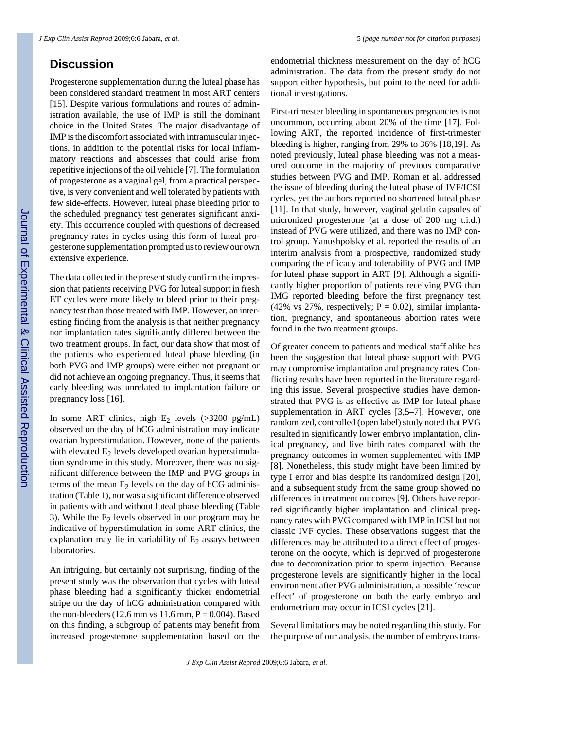## **Discussion**

Progesterone supplementation during the luteal phase has been considered standard treatment in most ART centers [15]. Despite various formulations and routes of administration available, the use of IMP is still the dominant choice in the United States. The major disadvantage of IMP is the discomfort associated with intramuscular injections, in addition to the potential risks for local inflammatory reactions and abscesses that could arise from repetitive injections of the oil vehicle [7]. The formulation of progesterone as a vaginal gel, from a practical perspective, is very convenient and well tolerated by patients with few side-effects. However, luteal phase bleeding prior to the scheduled pregnancy test generates significant anxiety. This occurrence coupled with questions of decreased pregnancy rates in cycles using this form of luteal progesterone supplementation prompted us to review our own extensive experience.

The data collected in the present study confirm the impression that patients receiving PVG for luteal support in fresh ET cycles were more likely to bleed prior to their pregnancy test than those treated with IMP. However, an interesting finding from the analysis is that neither pregnancy nor implantation rates significantly differed between the two treatment groups. In fact, our data show that most of the patients who experienced luteal phase bleeding (in both PVG and IMP groups) were either not pregnant or did not achieve an ongoing pregnancy. Thus, it seems that early bleeding was unrelated to implantation failure or pregnancy loss [16].

In some ART clinics, high  $E_2$  levels (>3200 pg/mL) observed on the day of hCG administration may indicate ovarian hyperstimulation. However, none of the patients with elevated  $E_2$  levels developed ovarian hyperstimulation syndrome in this study. Moreover, there was no significant difference between the IMP and PVG groups in terms of the mean  $E_2$  levels on the day of hCG administration (Table 1), nor was a significant difference observed in patients with and without luteal phase bleeding (Table 3). While the  $E_2$  levels observed in our program may be indicative of hyperstimulation in some ART clinics, the explanation may lie in variability of  $E_2$  assays between laboratories.

An intriguing, but certainly not surprising, finding of the present study was the observation that cycles with luteal phase bleeding had a significantly thicker endometrial stripe on the day of hCG administration compared with the non-bleeders (12.6 mm vs 11.6 mm,  $P = 0.004$ ). Based on this finding, a subgroup of patients may benefit from increased progesterone supplementation based on the

endometrial thickness measurement on the day of hCG administration. The data from the present study do not support either hypothesis, but point to the need for additional investigations.

First-trimester bleeding in spontaneous pregnancies is not uncommon, occurring about 20% of the time [17]. Following ART, the reported incidence of first-trimester bleeding is higher, ranging from 29% to 36% [18,19]. As noted previously, luteal phase bleeding was not a measured outcome in the majority of previous comparative studies between PVG and IMP. Roman et al. addressed the issue of bleeding during the luteal phase of IVF/ICSI cycles, yet the authors reported no shortened luteal phase [11]. In that study, however, vaginal gelatin capsules of micronized progesterone (at a dose of 200 mg t.i.d.) instead of PVG were utilized, and there was no IMP control group. Yanushpolsky et al. reported the results of an interim analysis from a prospective, randomized study comparing the efficacy and tolerability of PVG and IMP for luteal phase support in ART [9]. Although a significantly higher proportion of patients receiving PVG than IMG reported bleeding before the first pregnancy test (42% vs 27%, respectively;  $P = 0.02$ ), similar implantation, pregnancy, and spontaneous abortion rates were found in the two treatment groups.

Of greater concern to patients and medical staff alike has been the suggestion that luteal phase support with PVG may compromise implantation and pregnancy rates. Conflicting results have been reported in the literature regarding this issue. Several prospective studies have demonstrated that PVG is as effective as IMP for luteal phase supplementation in ART cycles [3,5–7]. However, one randomized, controlled (open label) study noted that PVG resulted in significantly lower embryo implantation, clinical pregnancy, and live birth rates compared with the pregnancy outcomes in women supplemented with IMP [8]. Nonetheless, this study might have been limited by type I error and bias despite its randomized design [20], and a subsequent study from the same group showed no differences in treatment outcomes [9]. Others have reported significantly higher implantation and clinical pregnancy rates with PVG compared with IMP in ICSI but not classic IVF cycles. These observations suggest that the differences may be attributed to a direct effect of progesterone on the oocyte, which is deprived of progesterone due to decoronization prior to sperm injection. Because progesterone levels are significantly higher in the local environment after PVG administration, a possible 'rescue effect' of progesterone on both the early embryo and endometrium may occur in ICSI cycles [21].

Several limitations may be noted regarding this study. For the purpose of our analysis, the number of embryos trans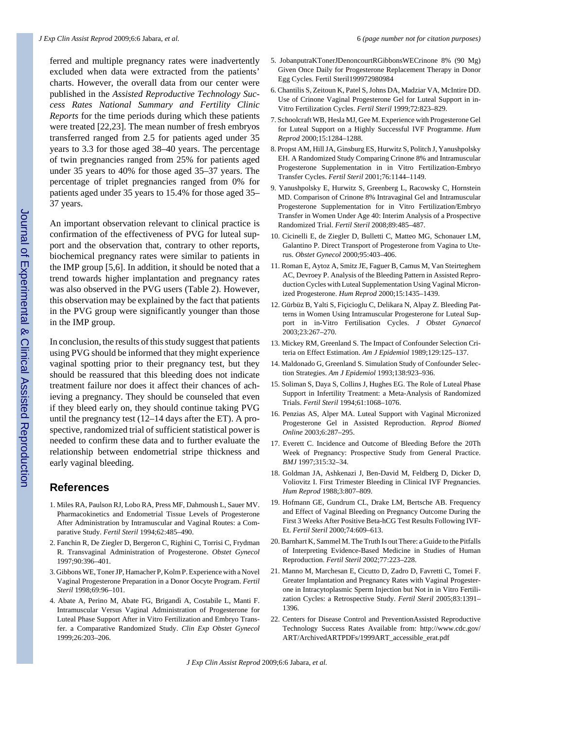ferred and multiple pregnancy rates were inadvertently excluded when data were extracted from the patients' charts. However, the overall data from our center were published in the *Assisted Reproductive Technology Success Rates National Summary and Fertility Clinic Reports* for the time periods during which these patients were treated [22,23]. The mean number of fresh embryos transferred ranged from 2.5 for patients aged under 35 years to 3.3 for those aged 38–40 years. The percentage of twin pregnancies ranged from 25% for patients aged under 35 years to 40% for those aged 35–37 years. The percentage of triplet pregnancies ranged from 0% for patients aged under 35 years to 15.4% for those aged 35– 37 years.

An important observation relevant to clinical practice is confirmation of the effectiveness of PVG for luteal support and the observation that, contrary to other reports, biochemical pregnancy rates were similar to patients in the IMP group [5,6]. In addition, it should be noted that a trend towards higher implantation and pregnancy rates was also observed in the PVG users (Table 2). However, this observation may be explained by the fact that patients in the PVG group were significantly younger than those in the IMP group.

In conclusion, the results of this study suggest that patients using PVG should be informed that they might experience vaginal spotting prior to their pregnancy test, but they should be reassured that this bleeding does not indicate treatment failure nor does it affect their chances of achieving a pregnancy. They should be counseled that even if they bleed early on, they should continue taking PVG until the pregnancy test (12–14 days after the ET). A prospective, randomized trial of sufficient statistical power is needed to confirm these data and to further evaluate the relationship between endometrial stripe thickness and early vaginal bleeding.

## **References**

- 1. Miles RA, Paulson RJ, Lobo RA, Press MF, Dahmoush L, Sauer MV. Pharmacokinetics and Endometrial Tissue Levels of Progesterone After Administration by Intramuscular and Vaginal Routes: a Comparative Study. *Fertil Steril* 1994;62:485–490.
- 2. Fanchin R, De Ziegler D, Bergeron C, Righini C, Torrisi C, Frydman R. Transvaginal Administration of Progesterone. *Obstet Gynecol* 1997;90:396–401.
- 3. Gibbons WE, Toner JP, Hamacher P, Kolm P. Experience with a Novel Vaginal Progesterone Preparation in a Donor Oocyte Program. *Fertil Steril* 1998;69:96–101.
- 4. Abate A, Perino M, Abate FG, Brigandì A, Costabile L, Manti F. Intramuscular Versus Vaginal Administration of Progesterone for Luteal Phase Support After in Vitro Fertilization and Embryo Transfer. a Comparative Randomized Study. *Clin Exp Obstet Gynecol* 1999;26:203–206.
- 5. JobanputraKTonerJDenoncourtRGibbonsWECrinone 8% (90 Mg) Given Once Daily for Progesterone Replacement Therapy in Donor Egg Cycles. Fertil Steril199972980984
- 6. Chantilis S, Zeitoun K, Patel S, Johns DA, Madziar VA, McIntire DD. Use of Crinone Vaginal Progesterone Gel for Luteal Support in in-Vitro Fertilization Cycles. *Fertil Steril* 1999;72:823–829.
- 7. Schoolcraft WB, Hesla MJ, Gee M. Experience with Progesterone Gel for Luteal Support on a Highly Successful IVF Programme. *Hum Reprod* 2000;15:1284–1288.
- 8. Propst AM, Hill JA, Ginsburg ES, Hurwitz S, Politch J, Yanushpolsky EH. A Randomized Study Comparing Crinone 8% and Intramuscular Progesterone Supplementation in in Vitro Fertilization-Embryo Transfer Cycles. *Fertil Steril* 2001;76:1144–1149.
- 9. Yanushpolsky E, Hurwitz S, Greenberg L, Racowsky C, Hornstein MD. Comparison of Crinone 8% Intravaginal Gel and Intramuscular Progesterone Supplementation for in Vitro Fertilization/Embryo Transfer in Women Under Age 40: Interim Analysis of a Prospective Randomized Trial. *Fertil Steril* 2008;89:485–487.
- 10. Cicinelli E, de Ziegler D, Bulletti C, Matteo MG, Schonauer LM, Galantino P. Direct Transport of Progesterone from Vagina to Uterus. *Obstet Gynecol* 2000;95:403–406.
- 11. Roman E, Aytoz A, Smitz JE, Faguer B, Camus M, Van Steirteghem AC, Devroey P. Analysis of the Bleeding Pattern in Assisted Reproduction Cycles with Luteal Supplementation Using Vaginal Micronized Progesterone. *Hum Reprod* 2000;15:1435–1439.
- 12. Gürbüz B, Yalti S, Fiçicioglu C, Delikara N, Alpay Z. Bleeding Patterns in Women Using Intramuscular Progesterone for Luteal Support in in-Vitro Fertilisation Cycles. *J Obstet Gynaecol* 2003;23:267–270.
- 13. Mickey RM, Greenland S. The Impact of Confounder Selection Criteria on Effect Estimation. *Am J Epidemiol* 1989;129:125–137.
- 14. Maldonado G, Greenland S. Simulation Study of Confounder Selection Strategies. *Am J Epidemiol* 1993;138:923–936.
- 15. Soliman S, Daya S, Collins J, Hughes EG. The Role of Luteal Phase Support in Infertility Treatment: a Meta-Analysis of Randomized Trials. *Fertil Steril* 1994;61:1068–1076.
- 16. Penzias AS, Alper MA. Luteal Support with Vaginal Micronized Progesterone Gel in Assisted Reproduction. *Reprod Biomed Online* 2003;6:287–295.
- 17. Everett C. Incidence and Outcome of Bleeding Before the 20Th Week of Pregnancy: Prospective Study from General Practice. *BMJ* 1997;315:32–34.
- 18. Goldman JA, Ashkenazi J, Ben-David M, Feldberg D, Dicker D, Voliovitz I. First Trimester Bleeding in Clinical IVF Pregnancies. *Hum Reprod* 1988;3:807–809.
- 19. Hofmann GE, Gundrum CL, Drake LM, Bertsche AB. Frequency and Effect of Vaginal Bleeding on Pregnancy Outcome During the First 3 Weeks After Positive Beta-hCG Test Results Following IVF-Et. *Fertil Steril* 2000;74:609–613.
- 20. Barnhart K, Sammel M. The Truth Is out There: a Guide to the Pitfalls of Interpreting Evidence-Based Medicine in Studies of Human Reproduction. *Fertil Steril* 2002;77:223–228.
- 21. Manno M, Marchesan E, Cicutto D, Zadro D, Favretti C, Tomei F. Greater Implantation and Pregnancy Rates with Vaginal Progesterone in Intracytoplasmic Sperm Injection but Not in in Vitro Fertilization Cycles: a Retrospective Study. *Fertil Steril* 2005;83:1391– 1396.
- 22. Centers for Disease Control and PreventionAssisted Reproductive Technology Success Rates Available from: http://www.cdc.gov/ ART/ArchivedARTPDFs/1999ART\_accessible\_erat.pdf

*J Exp Clin Assist Reprod* 2009;6:6 Jabara, *et al.*